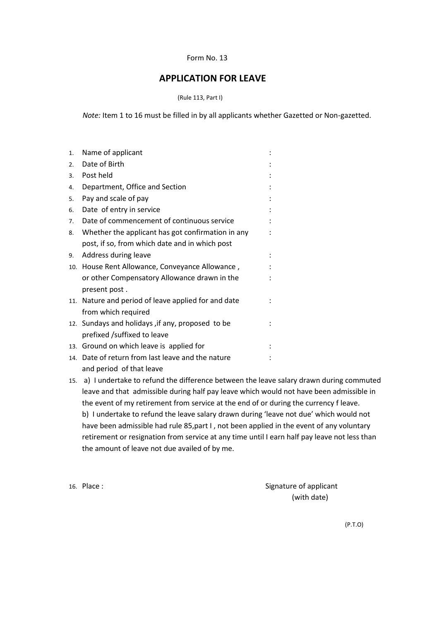## Form No. 13

## **APPLICATION FOR LEAVE**

(Rule 113, Part I)

 *Note:* Item 1 to 16 must be filled in by all applicants whether Gazetted or Non-gazetted.

| 1.  | Name of applicant                                 |  |  |
|-----|---------------------------------------------------|--|--|
| 2.  | Date of Birth                                     |  |  |
| 3.  | Post held                                         |  |  |
| 4.  | Department, Office and Section                    |  |  |
| 5.  | Pay and scale of pay                              |  |  |
| 6.  | Date of entry in service                          |  |  |
| 7.  | Date of commencement of continuous service        |  |  |
| 8.  | Whether the applicant has got confirmation in any |  |  |
|     | post, if so, from which date and in which post    |  |  |
| 9.  | Address during leave                              |  |  |
|     | 10. House Rent Allowance, Conveyance Allowance,   |  |  |
|     | or other Compensatory Allowance drawn in the      |  |  |
|     | present post.                                     |  |  |
| 11. | Nature and period of leave applied for and date   |  |  |
|     | from which required                               |  |  |
|     | 12. Sundays and holidays, if any, proposed to be  |  |  |
|     | prefixed /suffixed to leave                       |  |  |
|     | 13. Ground on which leave is applied for          |  |  |
|     | 14. Date of return from last leave and the nature |  |  |
|     | and period of that leave                          |  |  |

15. a) I undertake to refund the difference between the leave salary drawn during commuted leave and that admissible during half pay leave which would not have been admissible in the event of my retirement from service at the end of or during the currency f leave. b) I undertake to refund the leave salary drawn during 'leave not due' which would not have been admissible had rule 85, part I, not been applied in the event of any voluntary retirement or resignation from service at any time until I earn half pay leave not less than the amount of leave not due availed of by me.

16. Place : Signature of applicant (with date)

(P.T.O)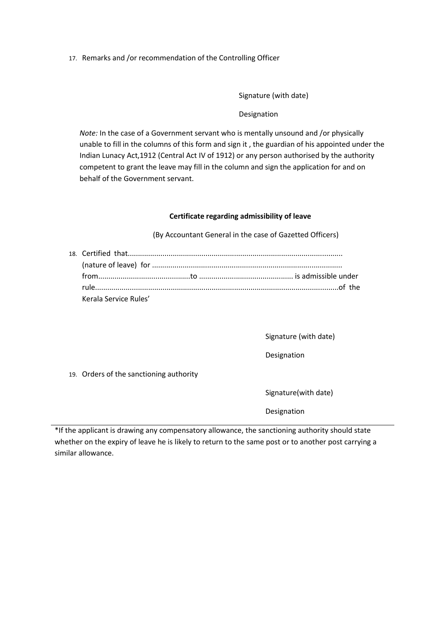17. Remarks and /or recommendation of the Controlling Officer

Signature (with date)

Designation

*Note:* In the case of a Government servant who is mentally unsound and /or physically unable to fill in the columns of this form and sign it , the guardian of his appointed under the Indian Lunacy Act,1912 (Central Act IV of 1912) or any person authorised by the authority competent to grant the leave may fill in the column and sign the application for and on behalf of the Government servant.

## **Certificate regarding admissibility of leave**

(By Accountant General in the case of Gazetted Officers)

| Kerala Service Rules' |  |  |
|-----------------------|--|--|

Signature (with date)

Designation

19. Orders of the sanctioning authority

Signature(with date)

Designation

\*If the applicant is drawing any compensatory allowance, the sanctioning authority should state whether on the expiry of leave he is likely to return to the same post or to another post carrying a similar allowance.